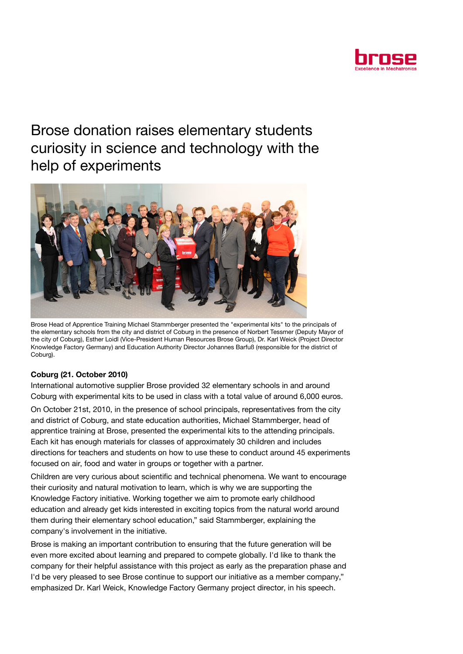

Brose donation raises elementary students curiosity in science and technology with the help of experiments



Brose Head of Apprentice Training Michael Stammberger presented the "experimental kits" to the principals of the elementary schools from the city and district of Coburg in the presence of Norbert Tessmer (Deputy Mayor of the city of Coburg), Esther Loidl (Vice-President Human Resources Brose Group), Dr. Karl Weick (Project Director Knowledge Factory Germany) and Education Authority Director Johannes Barfuß (responsible for the district of Coburg).

## Coburg (21. October 2010)

International automotive supplier Brose provided 32 elementary schools in and around Coburg with experimental kits to be used in class with a total value of around 6,000 euros.

On October 21st, 2010, in the presence of school principals, representatives from the city and district of Coburg, and state education authorities, Michael Stammberger, head of apprentice training at Brose, presented the experimental kits to the attending principals. Each kit has enough materials for classes of approximately 30 children and includes directions for teachers and students on how to use these to conduct around 45 experiments focused on air, food and water in groups or together with a partner.

Children are very curious about scientific and technical phenomena. We want to encourage their curiosity and natural motivation to learn, which is why we are supporting the Knowledge Factory initiative. Working together we aim to promote early childhood education and already get kids interested in exciting topics from the natural world around them during their elementary school education," said Stammberger, explaining the company's involvement in the initiative.

Brose is making an important contribution to ensuring that the future generation will be even more excited about learning and prepared to compete globally. I'd like to thank the company for their helpful assistance with this project as early as the preparation phase and I'd be very pleased to see Brose continue to support our initiative as a member company," emphasized Dr. Karl Weick, Knowledge Factory Germany project director, in his speech.